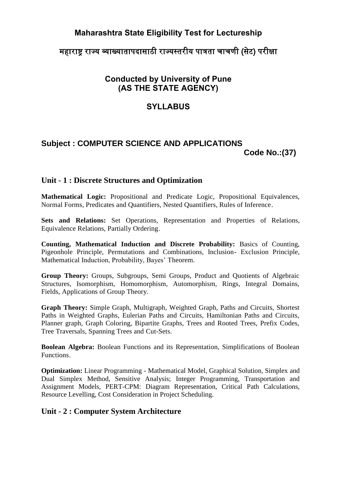# **Maharashtra State Eligibility Test for Lectureship**

## महाराष्ट राज्य व्याख्यातापदासाठी राज्यस्तरीय पात्रता चाचणी (सेट) परीक्षा

# **Conducted by University of Pune (AS THE STATE AGENCY)**

## **SYLLABUS**

### **Subject : COMPUTER SCIENCE AND APPLICATIONS Code No.:(37)**

### **Unit - 1 : Discrete Structures and Optimization**

**Mathematical Logic:** Propositional and Predicate Logic, Propositional Equivalences, Normal Forms, Predicates and Quantifiers, Nested Quantifiers, Rules of Inference.

Sets and Relations: Set Operations, Representation and Properties of Relations, Equivalence Relations, Partially Ordering.

**Counting, Mathematical Induction and Discrete Probability:** Basics of Counting, Pigeonhole Principle, Permutations and Combinations, Inclusion- Exclusion Principle, Mathematical Induction, Probability, Bayes' Theorem.

**Group Theory:** Groups, Subgroups, Semi Groups, Product and Quotients of Algebraic Structures, Isomorphism, Homomorphism, Automorphism, Rings, Integral Domains, Fields, Applications of Group Theory.

**Graph Theory:** Simple Graph, Multigraph, Weighted Graph, Paths and Circuits, Shortest Paths in Weighted Graphs, Eulerian Paths and Circuits, Hamiltonian Paths and Circuits, Planner graph, Graph Coloring, Bipartite Graphs, Trees and Rooted Trees, Prefix Codes, Tree Traversals, Spanning Trees and Cut-Sets.

**Boolean Algebra:** Boolean Functions and its Representation, Simplifications of Boolean Functions.

**Optimization:** Linear Programming - Mathematical Model, Graphical Solution, Simplex and Dual Simplex Method, Sensitive Analysis; Integer Programming, Transportation and Assignment Models, PERT-CPM: Diagram Representation, Critical Path Calculations, Resource Levelling, Cost Consideration in Project Scheduling.

### **Unit - 2 : Computer System Architecture**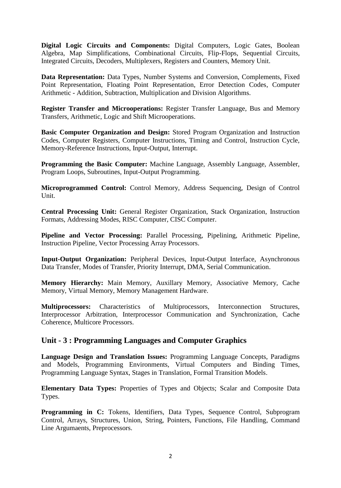**Digital Logic Circuits and Components:** Digital Computers, Logic Gates, Boolean Algebra, Map Simplifications, Combinational Circuits, Flip-Flops, Sequential Circuits, Integrated Circuits, Decoders, Multiplexers, Registers and Counters, Memory Unit.

**Data Representation:** Data Types, Number Systems and Conversion, Complements, Fixed Point Representation, Floating Point Representation, Error Detection Codes, Computer Arithmetic - Addition, Subtraction, Multiplication and Division Algorithms.

**Register Transfer and Microoperations:** Register Transfer Language, Bus and Memory Transfers, Arithmetic, Logic and Shift Microoperations.

**Basic Computer Organization and Design:** Stored Program Organization and Instruction Codes, Computer Registers, Computer Instructions, Timing and Control, Instruction Cycle, Memory-Reference Instructions, Input-Output, Interrupt.

**Programming the Basic Computer:** Machine Language, Assembly Language, Assembler, Program Loops, Subroutines, Input-Output Programming.

**Microprogrammed Control:** Control Memory, Address Sequencing, Design of Control Unit.

**Central Processing Unit:** General Register Organization, Stack Organization, Instruction Formats, Addressing Modes, RISC Computer, CISC Computer.

**Pipeline and Vector Processing:** Parallel Processing, Pipelining, Arithmetic Pipeline, Instruction Pipeline, Vector Processing Array Processors.

**Input-Output Organization:** Peripheral Devices, Input-Output Interface, Asynchronous Data Transfer, Modes of Transfer, Priority Interrupt, DMA, Serial Communication.

**Memory Hierarchy:** Main Memory, Auxillary Memory, Associative Memory, Cache Memory, Virtual Memory, Memory Management Hardware.

**Multiprocessors:** Characteristics of Multiprocessors, Interconnection Structures, Interprocessor Arbitration, Interprocessor Communication and Synchronization, Cache Coherence, Multicore Processors.

#### **Unit - 3 : Programming Languages and Computer Graphics**

**Language Design and Translation Issues:** Programming Language Concepts, Paradigms and Models, Programming Environments, Virtual Computers and Binding Times, Programming Language Syntax, Stages in Translation, Formal Transition Models.

**Elementary Data Types:** Properties of Types and Objects; Scalar and Composite Data Types.

**Programming in C:** Tokens, Identifiers, Data Types, Sequence Control, Subprogram Control, Arrays, Structures, Union, String, Pointers, Functions, File Handling, Command Line Argumaents, Preprocessors.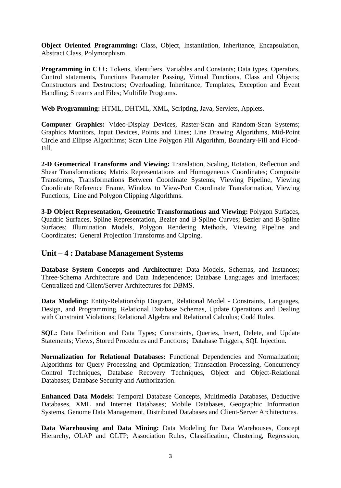**Object Oriented Programming:** Class, Object, Instantiation, Inheritance, Encapsulation, Abstract Class, Polymorphism.

**Programming in C++:** Tokens, Identifiers, Variables and Constants; Data types, Operators, Control statements, Functions Parameter Passing, Virtual Functions, Class and Objects; Constructors and Destructors; Overloading, Inheritance, Templates, Exception and Event Handling; Streams and Files; Multifile Programs.

**Web Programming:** HTML, DHTML, XML, Scripting, Java, Servlets, Applets.

**Computer Graphics:** Video-Display Devices, Raster-Scan and Random-Scan Systems; Graphics Monitors, Input Devices, Points and Lines; Line Drawing Algorithms, Mid-Point Circle and Ellipse Algorithms; Scan Line Polygon Fill Algorithm, Boundary-Fill and Flood-Fill.

**2-D Geometrical Transforms and Viewing:** Translation, Scaling, Rotation, Reflection and Shear Transformations; Matrix Representations and Homogeneous Coordinates; Composite Transforms, Transformations Between Coordinate Systems, Viewing Pipeline, Viewing Coordinate Reference Frame, Window to View-Port Coordinate Transformation, Viewing Functions, Line and Polygon Clipping Algorithms.

**3-D Object Representation, Geometric Transformations and Viewing:** Polygon Surfaces, Quadric Surfaces, Spline Representation, Bezier and B-Spline Curves; Bezier and B-Spline Surfaces; Illumination Models, Polygon Rendering Methods, Viewing Pipeline and Coordinates; General Projection Transforms and Cipping.

### **Unit – 4 : Database Management Systems**

**Database System Concepts and Architecture:** Data Models, Schemas, and Instances; Three-Schema Architecture and Data Independence; Database Languages and Interfaces; Centralized and Client/Server Architectures for DBMS.

**Data Modeling:** Entity-Relationship Diagram, Relational Model - Constraints, Languages, Design, and Programming, Relational Database Schemas, Update Operations and Dealing with Constraint Violations; Relational Algebra and Relational Calculus; Codd Rules.

**SQL:** Data Definition and Data Types; Constraints, Queries, Insert, Delete, and Update Statements; Views, Stored Procedures and Functions; Database Triggers, SQL Injection.

**Normalization for Relational Databases:** Functional Dependencies and Normalization; Algorithms for Query Processing and Optimization; Transaction Processing, Concurrency Control Techniques, Database Recovery Techniques, Object and Object-Relational Databases; Database Security and Authorization.

**Enhanced Data Models:** Temporal Database Concepts, Multimedia Databases, Deductive Databases, XML and Internet Databases; Mobile Databases, Geographic Information Systems, Genome Data Management, Distributed Databases and Client-Server Architectures.

**Data Warehousing and Data Mining:** Data Modeling for Data Warehouses, Concept Hierarchy, OLAP and OLTP; Association Rules, Classification, Clustering, Regression,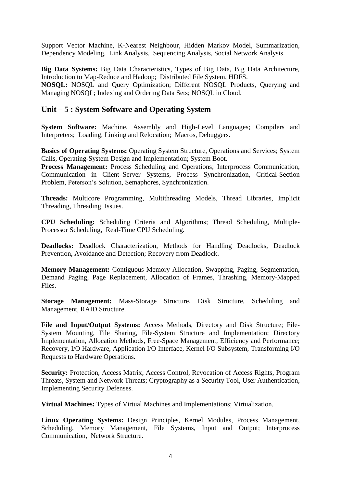Support Vector Machine, K-Nearest Neighbour, Hidden Markov Model, Summarization, Dependency Modeling, Link Analysis, Sequencing Analysis, Social Network Analysis.

**Big Data Systems:** Big Data Characteristics, Types of Big Data, Big Data Architecture, Introduction to Map-Reduce and Hadoop; Distributed File System, HDFS. **NOSQL:** NOSQL and Query Optimization; Different NOSQL Products, Querying and Managing NOSQL; Indexing and Ordering Data Sets; NOSQL in Cloud.

### **Unit – 5 : System Software and Operating System**

**System Software:** Machine, Assembly and High-Level Languages; Compilers and Interpreters; Loading, Linking and Relocation; Macros, Debuggers.

**Basics of Operating Systems:** Operating System Structure, Operations and Services; System Calls, Operating-System Design and Implementation; System Boot.

**Process Management:** Process Scheduling and Operations; Interprocess Communication, Communication in Client–Server Systems, Process Synchronization, Critical-Section Problem, Peterson's Solution, Semaphores, Synchronization.

**Threads:** Multicore Programming, Multithreading Models, Thread Libraries, Implicit Threading, Threading Issues.

**CPU Scheduling:** Scheduling Criteria and Algorithms; Thread Scheduling, Multiple-Processor Scheduling, Real-Time CPU Scheduling.

**Deadlocks:** Deadlock Characterization, Methods for Handling Deadlocks, Deadlock Prevention, Avoidance and Detection; Recovery from Deadlock.

**Memory Management:** Contiguous Memory Allocation, Swapping, Paging, Segmentation, Demand Paging, Page Replacement, Allocation of Frames, Thrashing, Memory-Mapped Files.

**Storage Management:** Mass-Storage Structure, Disk Structure, Scheduling and Management, RAID Structure.

**File and Input/Output Systems:** Access Methods, Directory and Disk Structure; File-System Mounting, File Sharing, File-System Structure and Implementation; Directory Implementation, Allocation Methods, Free-Space Management, Efficiency and Performance; Recovery, I/O Hardware, Application I/O Interface, Kernel I/O Subsystem, Transforming I/O Requests to Hardware Operations.

**Security:** Protection, Access Matrix, Access Control, Revocation of Access Rights, Program Threats, System and Network Threats; Cryptography as a Security Tool, User Authentication, Implementing Security Defenses.

**Virtual Machines:** Types of Virtual Machines and Implementations; Virtualization.

**Linux Operating Systems:** Design Principles, Kernel Modules, Process Management, Scheduling, Memory Management, File Systems, Input and Output; Interprocess Communication, Network Structure.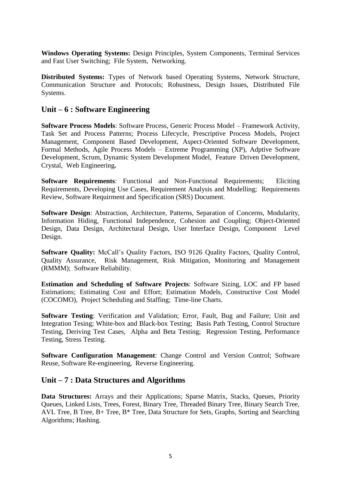**Windows Operating Systems:** Design Principles, System Components, Terminal Services and Fast User Switching; File System, Networking.

**Distributed Systems:** Types of Network based Operating Systems, Network Structure, Communication Structure and Protocols; Robustness, Design Issues, Distributed File Systems.

#### **Unit – 6 : Software Engineering**

**Software Process Models**: Software Process, Generic Process Model – Framework Activity, Task Set and Process Patterns; Process Lifecycle, Prescriptive Process Models, Project Management, Component Based Development, Aspect-Oriented Software Development, Formal Methods, Agile Process Models – Extreme Programming (XP), Adptive Software Development, Scrum, Dynamic System Development Model, Feature Driven Development, Crystal, Web Engineering**.**

**Software Requirements**: Functional and Non-Functional Requirements; Eliciting Requirements, Developing Use Cases, Requirement Analysis and Modelling; Requirements Review, Software Requirment and Specification (SRS) Document.

**Software Design**: Abstraction, Architecture, Patterns, Separation of Concerns, Modularity, Information Hiding, Functional Independence, Cohesion and Coupling; Object-Oriented Design, Data Design, Architectural Design, User Interface Design, Component Level Design.

**Software Quality:** McCall's Quality Factors, ISO 9126 Quality Factors, Quality Control, Quality Assurance, Risk Management, Risk Mitigation, Monitoring and Management (RMMM); Software Reliability.

**Estimation and Scheduling of Software Projects**: Software Sizing, LOC and FP based Estimations; Estimating Cost and Effort; Estimation Models, Constructive Cost Model (COCOMO), Project Scheduling and Staffing; Time-line Charts.

**Software Testing**: Verification and Validation; Error, Fault, Bug and Failure; Unit and Integration Tesing; White-box and Black-box Testing; Basis Path Testing, Control Structure Testing, Deriving Test Cases, Alpha and Beta Testing; Regression Testing, Performance Testing, Stress Testing.

**Software Configuration Management:** Change Control and Version Control; Software Reuse, Software Re-engineering, Reverse Engineering.

#### **Unit – 7 : Data Structures and Algorithms**

**Data Structures:** Arrays and their Applications; Sparse Matrix, Stacks, Queues, Priority Queues, Linked Lists, Trees, Forest, Binary Tree, Threaded Binary Tree, Binary Search Tree, AVL Tree, B Tree, B+ Tree, B\* Tree, Data Structure for Sets, Graphs, Sorting and Searching Algorithms; Hashing.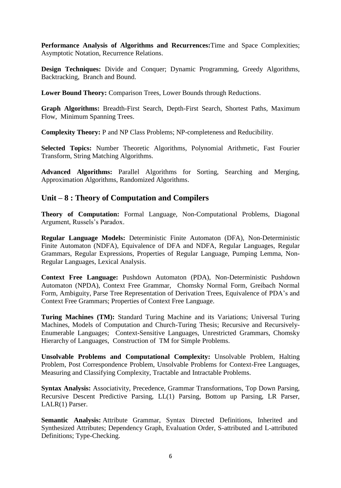**Performance Analysis of Algorithms and Recurrences:**Time and Space Complexities; Asymptotic Notation, Recurrence Relations.

**Design Techniques:** Divide and Conquer; Dynamic Programming, Greedy Algorithms, Backtracking, Branch and Bound.

**Lower Bound Theory:** Comparison Trees, Lower Bounds through Reductions.

**Graph Algorithms:** Breadth-First Search, Depth-First Search, Shortest Paths, Maximum Flow, Minimum Spanning Trees.

**Complexity Theory:** P and NP Class Problems; NP-completeness and Reducibility.

**Selected Topics:** Number Theoretic Algorithms, Polynomial Arithmetic, Fast Fourier Transform, String Matching Algorithms.

**Advanced Algorithms:** Parallel Algorithms for Sorting, Searching and Merging, Approximation Algorithms, Randomized Algorithms.

#### **Unit – 8 : Theory of Computation and Compilers**

**Theory of Computation:** Formal Language, Non-Computational Problems, Diagonal Argument, Russels's Paradox.

**Regular Language Models:** Deterministic Finite Automaton (DFA), Non-Deterministic Finite Automaton (NDFA), Equivalence of DFA and NDFA, Regular Languages, Regular Grammars, Regular Expressions, Properties of Regular Language, Pumping Lemma, Non-Regular Languages, Lexical Analysis.

**Context Free Language:** Pushdown Automaton (PDA), Non-Deterministic Pushdown Automaton (NPDA), Context Free Grammar, Chomsky Normal Form, Greibach Normal Form, Ambiguity, Parse Tree Representation of Derivation Trees, Equivalence of PDA's and Context Free Grammars; Properties of Context Free Language.

**Turing Machines (TM):** Standard Turing Machine and its Variations; Universal Turing Machines, Models of Computation and Church-Turing Thesis; Recursive and Recursively-Enumerable Languages; Context-Sensitive Languages, Unrestricted Grammars, Chomsky Hierarchy of Languages, Construction of TM for Simple Problems.

**Unsolvable Problems and Computational Complexity:** Unsolvable Problem, Halting Problem, Post Correspondence Problem, Unsolvable Problems for Context-Free Languages, Measuring and Classifying Complexity, Tractable and Intractable Problems.

**Syntax Analysis:** Associativity, Precedence, Grammar Transformations, Top Down Parsing, Recursive Descent Predictive Parsing, LL(1) Parsing, Bottom up Parsing, LR Parser, LALR(1) Parser.

**Semantic Analysis:** Attribute Grammar, Syntax Directed Definitions, Inherited and Synthesized Attributes; Dependency Graph, Evaluation Order, S-attributed and L-attributed Definitions; Type-Checking.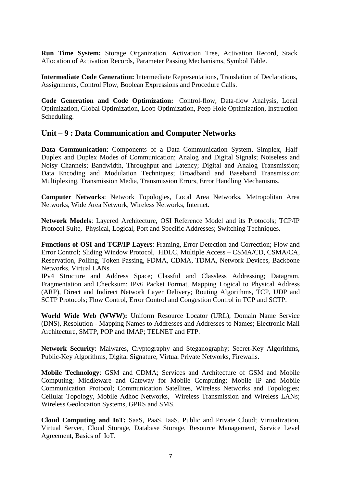**Run Time System:** Storage Organization, Activation Tree, Activation Record, Stack Allocation of Activation Records, Parameter Passing Mechanisms, Symbol Table.

**Intermediate Code Generation:** Intermediate Representations, Translation of Declarations, Assignments, Control Flow, Boolean Expressions and Procedure Calls.

**Code Generation and Code Optimization:** Control-flow, Data-flow Analysis, Local Optimization, Global Optimization, Loop Optimization, Peep-Hole Optimization, Instruction Scheduling.

#### **Unit – 9 : Data Communication and Computer Networks**

**Data Communication**: Components of a Data Communication System, Simplex, Half-Duplex and Duplex Modes of Communication; Analog and Digital Signals; Noiseless and Noisy Channels; Bandwidth, Throughput and Latency; Digital and Analog Transmission; Data Encoding and Modulation Techniques; Broadband and Baseband Transmission; Multiplexing, Transmission Media, Transmission Errors, Error Handling Mechanisms.

**Computer Networks**: Network Topologies, Local Area Networks, Metropolitan Area Networks, Wide Area Network, Wireless Networks, Internet.

**Network Models**: Layered Architecture, OSI Reference Model and its Protocols; TCP/IP Protocol Suite, Physical, Logical, Port and Specific Addresses; Switching Techniques.

**Functions of OSI and TCP/IP Layers**: Framing, Error Detection and Correction; Flow and Error Control; Sliding Window Protocol, HDLC, Multiple Access – CSMA/CD, CSMA/CA, Reservation, Polling, Token Passing, FDMA, CDMA, TDMA, Network Devices, Backbone Networks, Virtual LANs.

IPv4 Structure and Address Space; Classful and Classless Addressing; Datagram, Fragmentation and Checksum; IPv6 Packet Format, Mapping Logical to Physical Address (ARP), Direct and Indirect Network Layer Delivery; Routing Algorithms, TCP, UDP and SCTP Protocols; Flow Control, Error Control and Congestion Control in TCP and SCTP.

**World Wide Web (WWW):** Uniform Resource Locator (URL), Domain Name Service (DNS), Resolution - Mapping Names to Addresses and Addresses to Names; Electronic Mail Architecture, SMTP, POP and IMAP; TELNET and FTP.

**Network Security**: Malwares, Cryptography and Steganography; Secret-Key Algorithms, Public-Key Algorithms, Digital Signature, Virtual Private Networks, Firewalls.

**Mobile Technology**: GSM and CDMA; Services and Architecture of GSM and Mobile Computing; Middleware and Gateway for Mobile Computing; Mobile IP and Mobile Communication Protocol; Communication Satellites, Wireless Networks and Topologies; Cellular Topology, Mobile Adhoc Networks, Wireless Transmission and Wireless LANs; Wireless Geolocation Systems, GPRS and SMS.

**Cloud Computing and IoT:** SaaS, PaaS, IaaS, Public and Private Cloud; Virtualization, Virtual Server, Cloud Storage, Database Storage, Resource Management, Service Level Agreement, Basics of IoT.